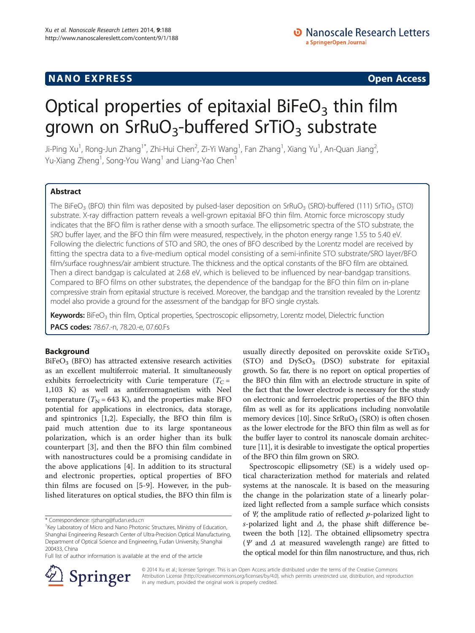## **NANO EXPRESS** Open Access **CONSTRUCTER**

# Optical properties of epitaxial BiFeO<sub>3</sub> thin film grown on  $SrRuO<sub>3</sub>$ -buffered  $SrTiO<sub>3</sub>$  substrate

Ji-Ping Xu<sup>1</sup>, Rong-Jun Zhang<sup>1\*</sup>, Zhi-Hui Chen<sup>2</sup>, Zi-Yi Wang<sup>1</sup>, Fan Zhang<sup>1</sup>, Xiang Yu<sup>1</sup>, An-Quan Jiang<sup>2</sup> , Yu-Xiang Zheng<sup>1</sup>, Song-You Wang<sup>1</sup> and Liang-Yao Chen<sup>1</sup>

## Abstract

The BiFeO<sub>3</sub> (BFO) thin film was deposited by pulsed-laser deposition on SrRuO<sub>3</sub> (SRO)-buffered (111) SrTiO<sub>3</sub> (STO) substrate. X-ray diffraction pattern reveals a well-grown epitaxial BFO thin film. Atomic force microscopy study indicates that the BFO film is rather dense with a smooth surface. The ellipsometric spectra of the STO substrate, the SRO buffer layer, and the BFO thin film were measured, respectively, in the photon energy range 1.55 to 5.40 eV. Following the dielectric functions of STO and SRO, the ones of BFO described by the Lorentz model are received by fitting the spectra data to a five-medium optical model consisting of a semi-infinite STO substrate/SRO layer/BFO film/surface roughness/air ambient structure. The thickness and the optical constants of the BFO film are obtained. Then a direct bandgap is calculated at 2.68 eV, which is believed to be influenced by near-bandgap transitions. Compared to BFO films on other substrates, the dependence of the bandgap for the BFO thin film on in-plane compressive strain from epitaxial structure is received. Moreover, the bandgap and the transition revealed by the Lorentz model also provide a ground for the assessment of the bandgap for BFO single crystals.

Keywords: BiFeO<sub>3</sub> thin film, Optical properties, Spectroscopic ellipsometry, Lorentz model, Dielectric function PACS codes: 78.67.-n, 78.20.-e, 07.60.Fs

## Background

 $BiFeO<sub>3</sub>$  (BFO) has attracted extensive research activities as an excellent multiferroic material. It simultaneously exhibits ferroelectricity with Curie temperature ( $T_C$  = 1,103 K) as well as antiferromagnetism with Neel temperature ( $T_N$  = 643 K), and the properties make BFO potential for applications in electronics, data storage, and spintronics [\[1,2](#page-5-0)]. Especially, the BFO thin film is paid much attention due to its large spontaneous polarization, which is an order higher than its bulk counterpart [[3\]](#page-5-0), and then the BFO thin film combined with nanostructures could be a promising candidate in the above applications [[4\]](#page-5-0). In addition to its structural and electronic properties, optical properties of BFO thin films are focused on [\[5](#page-5-0)-[9\]](#page-5-0). However, in the published literatures on optical studies, the BFO thin film is

\* Correspondence: [rjzhang@fudan.edu.cn](mailto:rjzhang@fudan.edu.cn) <sup>1</sup>

usually directly deposited on perovskite oxide  $SrTiO<sub>3</sub>$  $(TO)$  and  $DyScO<sub>3</sub>$  (DSO) substrate for epitaxial growth. So far, there is no report on optical properties of the BFO thin film with an electrode structure in spite of the fact that the lower electrode is necessary for the study on electronic and ferroelectric properties of the BFO thin film as well as for its applications including nonvolatile memory devices [[10](#page-5-0)]. Since  $SFRuO<sub>3</sub>$  (SRO) is often chosen as the lower electrode for the BFO thin film as well as for the buffer layer to control its nanoscale domain architecture [[11](#page-5-0)], it is desirable to investigate the optical properties of the BFO thin film grown on SRO.

Spectroscopic ellipsometry (SE) is a widely used optical characterization method for materials and related systems at the nanoscale. It is based on the measuring the change in the polarization state of a linearly polarized light reflected from a sample surface which consists of  $\Psi$ , the amplitude ratio of reflected p-polarized light to s-polarized light and  $\Delta$ , the phase shift difference between the both [\[12\]](#page-5-0). The obtained ellipsometry spectra ( $\Psi$  and  $\Delta$  at measured wavelength range) are fitted to the optical model for thin film nanostructure, and thus, rich



© 2014 Xu et al.; licensee Springer. This is an Open Access article distributed under the terms of the Creative Commons Attribution License [\(http://creativecommons.org/licenses/by/4.0\)](http://creativecommons.org/licenses/by/4.0), which permits unrestricted use, distribution, and reproduction in any medium, provided the original work is properly credited.

<sup>&</sup>lt;sup>1</sup> Key Laboratory of Micro and Nano Photonic Structures, Ministry of Education, Shanghai Engineering Research Center of Ultra-Precision Optical Manufacturing, Department of Optical Science and Engineering, Fudan University, Shanghai 200433, China

Full list of author information is available at the end of the article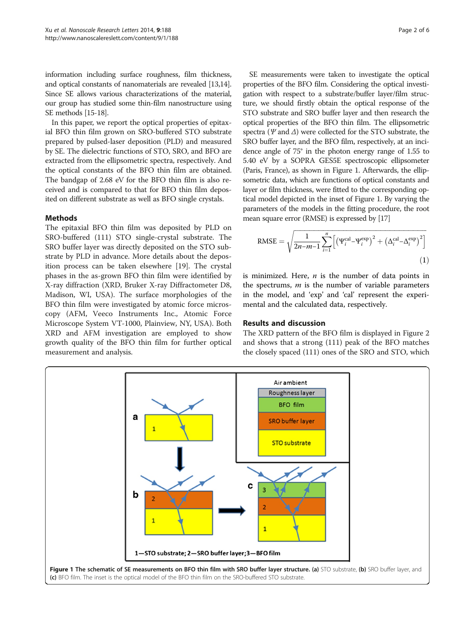<span id="page-1-0"></span>information including surface roughness, film thickness, and optical constants of nanomaterials are revealed [[13,14](#page-5-0)]. Since SE allows various characterizations of the material, our group has studied some thin-film nanostructure using SE methods [\[15](#page-5-0)-[18](#page-5-0)].

In this paper, we report the optical properties of epitaxial BFO thin film grown on SRO-buffered STO substrate prepared by pulsed-laser deposition (PLD) and measured by SE. The dielectric functions of STO, SRO, and BFO are extracted from the ellipsometric spectra, respectively. And the optical constants of the BFO thin film are obtained. The bandgap of 2.68 eV for the BFO thin film is also received and is compared to that for BFO thin film deposited on different substrate as well as BFO single crystals.

## Methods

The epitaxial BFO thin film was deposited by PLD on SRO-buffered (111) STO single-crystal substrate. The SRO buffer layer was directly deposited on the STO substrate by PLD in advance. More details about the deposition process can be taken elsewhere [\[19](#page-5-0)]. The crystal phases in the as-grown BFO thin film were identified by X-ray diffraction (XRD, Bruker X-ray Diffractometer D8, Madison, WI, USA). The surface morphologies of the BFO thin film were investigated by atomic force microscopy (AFM, Veeco Instruments Inc., Atomic Force Microscope System VT-1000, Plainview, NY, USA). Both XRD and AFM investigation are employed to show growth quality of the BFO thin film for further optical measurement and analysis.

SE measurements were taken to investigate the optical properties of the BFO film. Considering the optical investigation with respect to a substrate/buffer layer/film structure, we should firstly obtain the optical response of the STO substrate and SRO buffer layer and then research the optical properties of the BFO thin film. The ellipsometric spectra ( $\Psi$  and  $\Delta$ ) were collected for the STO substrate, the SRO buffer layer, and the BFO film, respectively, at an incidence angle of 75° in the photon energy range of 1.55 to 5.40 eV by a SOPRA GES5E spectroscopic ellipsometer (Paris, France), as shown in Figure 1. Afterwards, the ellipsometric data, which are functions of optical constants and layer or film thickness, were fitted to the corresponding optical model depicted in the inset of Figure 1. By varying the parameters of the models in the fitting procedure, the root mean square error (RMSE) is expressed by [\[17\]](#page-5-0)

$$
RMSE = \sqrt{\frac{1}{2n-m-1} \sum_{i=1}^{n} \left[ \left( \Psi_i^{\text{cal}} - \Psi_i^{\text{exp}} \right)^2 + \left( \Delta_i^{\text{cal}} - \Delta_i^{\text{exp}} \right)^2 \right]}
$$
(1)

is minimized. Here,  $n$  is the number of data points in the spectrums,  $m$  is the number of variable parameters in the model, and 'exp' and 'cal' represent the experimental and the calculated data, respectively.

## Results and discussion

The XRD pattern of the BFO film is displayed in Figure [2](#page-2-0) and shows that a strong (111) peak of the BFO matches the closely spaced (111) ones of the SRO and STO, which

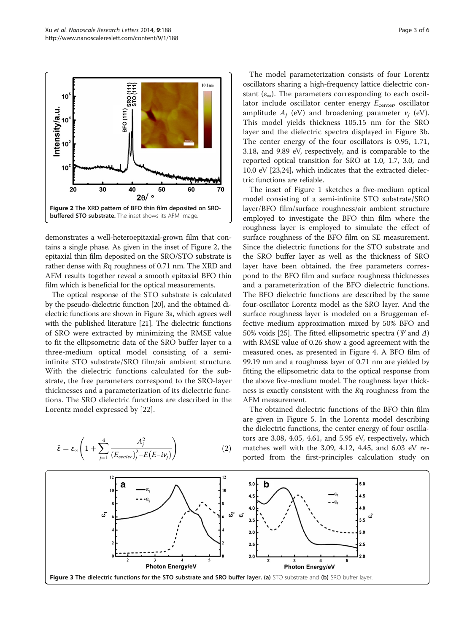<span id="page-2-0"></span>

demonstrates a well-heteroepitaxial-grown film that contains a single phase. As given in the inset of Figure 2, the epitaxial thin film deposited on the SRO/STO substrate is rather dense with Rq roughness of 0.71 nm. The XRD and AFM results together reveal a smooth epitaxial BFO thin film which is beneficial for the optical measurements.

The optical response of the STO substrate is calculated by the pseudo-dielectric function [[20](#page-5-0)], and the obtained dielectric functions are shown in Figure 3a, which agrees well with the published literature [\[21\]](#page-5-0). The dielectric functions of SRO were extracted by minimizing the RMSE value to fit the ellipsometric data of the SRO buffer layer to a three-medium optical model consisting of a semiinfinite STO substrate/SRO film/air ambient structure. With the dielectric functions calculated for the substrate, the free parameters correspond to the SRO-layer thicknesses and a parameterization of its dielectric functions. The SRO dielectric functions are described in the Lorentz model expressed by [[22\]](#page-5-0).

$$
\tilde{\varepsilon} = \varepsilon_{\infty} \left( 1 + \sum_{j=1}^{4} \frac{A_j^2}{\left( E_{center} \right)_j^2 - E(E - i\nu_j)} \right) \tag{2}
$$

The model parameterization consists of four Lorentz oscillators sharing a high-frequency lattice dielectric constant  $(\varepsilon_{\infty})$ . The parameters corresponding to each oscillator include oscillator center energy  $E_{\text{center}}$  oscillator amplitude  $A_i$  (eV) and broadening parameter  $v_i$  (eV). This model yields thickness 105.15 nm for the SRO layer and the dielectric spectra displayed in Figure 3b. The center energy of the four oscillators is 0.95, 1.71, 3.18, and 9.89 eV, respectively, and is comparable to the reported optical transition for SRO at 1.0, 1.7, 3.0, and 10.0 eV [\[23,24\]](#page-5-0), which indicates that the extracted dielectric functions are reliable.

The inset of Figure [1](#page-1-0) sketches a five-medium optical model consisting of a semi-infinite STO substrate/SRO layer/BFO film/surface roughness/air ambient structure employed to investigate the BFO thin film where the roughness layer is employed to simulate the effect of surface roughness of the BFO film on SE measurement. Since the dielectric functions for the STO substrate and the SRO buffer layer as well as the thickness of SRO layer have been obtained, the free parameters correspond to the BFO film and surface roughness thicknesses and a parameterization of the BFO dielectric functions. The BFO dielectric functions are described by the same four-oscillator Lorentz model as the SRO layer. And the surface roughness layer is modeled on a Bruggeman effective medium approximation mixed by 50% BFO and 50% voids [\[25\]](#page-5-0). The fitted ellipsometric spectra ( $\Psi$  and  $\Delta$ ) with RMSE value of 0.26 show a good agreement with the measured ones, as presented in Figure [4](#page-3-0). A BFO film of 99.19 nm and a roughness layer of 0.71 nm are yielded by fitting the ellipsometric data to the optical response from the above five-medium model. The roughness layer thickness is exactly consistent with the Rq roughness from the AFM measurement.

The obtained dielectric functions of the BFO thin film are given in Figure [5.](#page-3-0) In the Lorentz model describing the dielectric functions, the center energy of four oscillators are 3.08, 4.05, 4.61, and 5.95 eV, respectively, which matches well with the 3.09, 4.12, 4.45, and 6.03 eV reported from the first-principles calculation study on

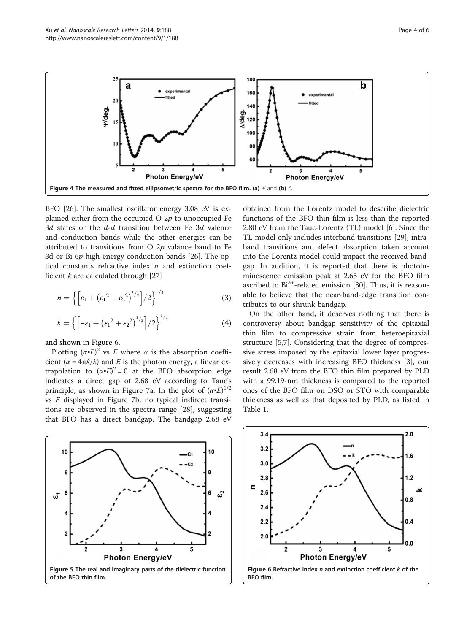<span id="page-3-0"></span>

BFO [[26](#page-5-0)]. The smallest oscillator energy 3.08 eV is explained either from the occupied O  $2p$  to unoccupied Fe 3d states or the d-d transition between Fe 3d valence and conduction bands while the other energies can be attributed to transitions from  $O$  2p valance band to Fe 3d or Bi 6p high-energy conduction bands [[26\]](#page-5-0). The optical constants refractive index  $n$  and extinction coefficient  $k$  are calculated through [\[27](#page-5-0)]

$$
n = \left\{ \left[ \varepsilon_1 + \left( \varepsilon_1^2 + \varepsilon_2^2 \right)^{1/2} \right] / 2 \right\}^{1/2}
$$
 (3)

$$
k = \left\{ \left[ -\varepsilon_1 + \left( \varepsilon_1^2 + \varepsilon_2^2 \right)^{1/2} \right] / 2 \right\}^{1/2}
$$
 (4)

and shown in Figure 6.

Plotting  $(\alpha \cdot E)^2$  vs E where  $\alpha$  is the absorption coefficient ( $\alpha = 4\pi k/\lambda$ ) and E is the photon energy, a linear extrapolation to  $(\alpha \cdot E)^2 = 0$  at the BFO absorption edge indicates a direct gap of 2.68 eV according to Tauc's principle, as shown in Figure [7](#page-4-0)a. In the plot of  $(\alpha \cdot E)^{1/2}$ vs E displayed in Figure [7b](#page-4-0), no typical indirect transitions are observed in the spectra range [[28\]](#page-5-0), suggesting that BFO has a direct bandgap. The bandgap 2.68 eV

10 10 £1 Я ĥ బి ట్ 3  $\overline{\mathbf{4}}$ 5 **Photon Energy/eV** Figure 5 The real and imaginary parts of the dielectric function of the BFO thin film.

obtained from the Lorentz model to describe dielectric functions of the BFO thin film is less than the reported 2.80 eV from the Tauc-Lorentz (TL) model [[6](#page-5-0)]. Since the TL model only includes interband transitions [[29](#page-5-0)], intraband transitions and defect absorption taken account into the Lorentz model could impact the received bandgap. In addition, it is reported that there is photoluminescence emission peak at 2.65 eV for the BFO film ascribed to  $Bi^{3+}$ -related emission [[30](#page-5-0)]. Thus, it is reasonable to believe that the near-band-edge transition contributes to our shrunk bandgap.

On the other hand, it deserves nothing that there is controversy about bandgap sensitivity of the epitaxial thin film to compressive strain from heteroepitaxial structure [\[5,7](#page-5-0)]. Considering that the degree of compressive stress imposed by the epitaxial lower layer progressively decreases with increasing BFO thickness [[3\]](#page-5-0), our result 2.68 eV from the BFO thin film prepared by PLD with a 99.19-nm thickness is compared to the reported ones of the BFO film on DSO or STO with comparable thickness as well as that deposited by PLD, as listed in Table [1.](#page-4-0)

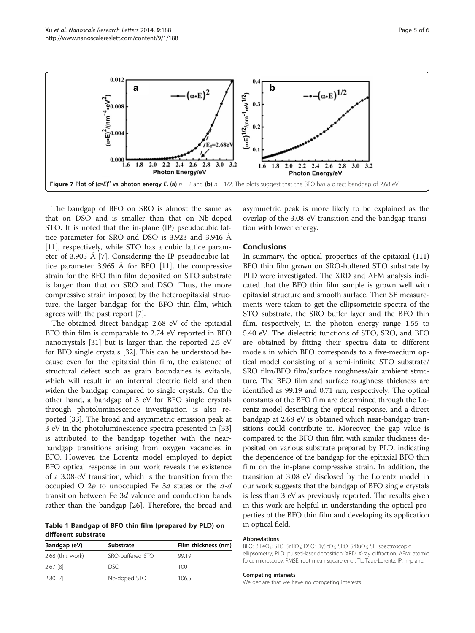<span id="page-4-0"></span>

The bandgap of BFO on SRO is almost the same as that on DSO and is smaller than that on Nb-doped STO. It is noted that the in-plane (IP) pseudocubic lattice parameter for SRO and DSO is 3.923 and 3.946 Å [[11\]](#page-5-0), respectively, while STO has a cubic lattice parameter of 3.905 Å [[7\]](#page-5-0). Considering the IP pseudocubic lattice parameter 3.965 Å for BFO [\[11\]](#page-5-0), the compressive strain for the BFO thin film deposited on STO substrate is larger than that on SRO and DSO. Thus, the more compressive strain imposed by the heteroepitaxial structure, the larger bandgap for the BFO thin film, which agrees with the past report [[7\]](#page-5-0).

The obtained direct bandgap 2.68 eV of the epitaxial BFO thin film is comparable to 2.74 eV reported in BFO nanocrystals [\[31](#page-5-0)] but is larger than the reported 2.5 eV for BFO single crystals [\[32](#page-5-0)]. This can be understood because even for the epitaxial thin film, the existence of structural defect such as grain boundaries is evitable, which will result in an internal electric field and then widen the bandgap compared to single crystals. On the other hand, a bandgap of 3 eV for BFO single crystals through photoluminescence investigation is also reported [[33\]](#page-5-0). The broad and asymmetric emission peak at 3 eV in the photoluminescence spectra presented in [[33](#page-5-0)] is attributed to the bandgap together with the nearbandgap transitions arising from oxygen vacancies in BFO. However, the Lorentz model employed to depict BFO optical response in our work reveals the existence of a 3.08-eV transition, which is the transition from the occupied O  $2p$  to unoccupied Fe 3d states or the  $d-d$ transition between Fe 3d valence and conduction bands rather than the bandgap [[26\]](#page-5-0). Therefore, the broad and

Table 1 Bandgap of BFO thin film (prepared by PLD) on different substrate

| Bandgap (eV)     | Substrate        | Film thickness (nm) |
|------------------|------------------|---------------------|
| 2.68 (this work) | SRO-buffered STO | 99 19               |
| 2.67 [8]         | nso              | 100                 |
| 2.80 [7]         | Nb-doped STO     | 106.5               |

asymmetric peak is more likely to be explained as the overlap of the 3.08-eV transition and the bandgap transition with lower energy.

#### Conclusions

In summary, the optical properties of the epitaxial (111) BFO thin film grown on SRO-buffered STO substrate by PLD were investigated. The XRD and AFM analysis indicated that the BFO thin film sample is grown well with epitaxial structure and smooth surface. Then SE measurements were taken to get the ellipsometric spectra of the STO substrate, the SRO buffer layer and the BFO thin film, respectively, in the photon energy range 1.55 to 5.40 eV. The dielectric functions of STO, SRO, and BFO are obtained by fitting their spectra data to different models in which BFO corresponds to a five-medium optical model consisting of a semi-infinite STO substrate/ SRO film/BFO film/surface roughness/air ambient structure. The BFO film and surface roughness thickness are identified as 99.19 and 0.71 nm, respectively. The optical constants of the BFO film are determined through the Lorentz model describing the optical response, and a direct bandgap at 2.68 eV is obtained which near-bandgap transitions could contribute to. Moreover, the gap value is compared to the BFO thin film with similar thickness deposited on various substrate prepared by PLD, indicating the dependence of the bandgap for the epitaxial BFO thin film on the in-plane compressive strain. In addition, the transition at 3.08 eV disclosed by the Lorentz model in our work suggests that the bandgap of BFO single crystals is less than 3 eV as previously reported. The results given in this work are helpful in understanding the optical properties of the BFO thin film and developing its application in optical field.

#### Abbreviations

BFO: BiFeO<sub>3</sub>; STO: SrTiO<sub>3</sub>; DSO: DyScO<sub>3</sub>; SRO: SrRuO<sub>3</sub>; SE: spectroscopic ellipsometry; PLD: pulsed-laser deposition; XRD: X-ray diffraction; AFM: atomic force microscopy; RMSE: root mean square error; TL: Tauc-Lorentz; IP: in-plane.

#### Competing interests

We declare that we have no competing interests.